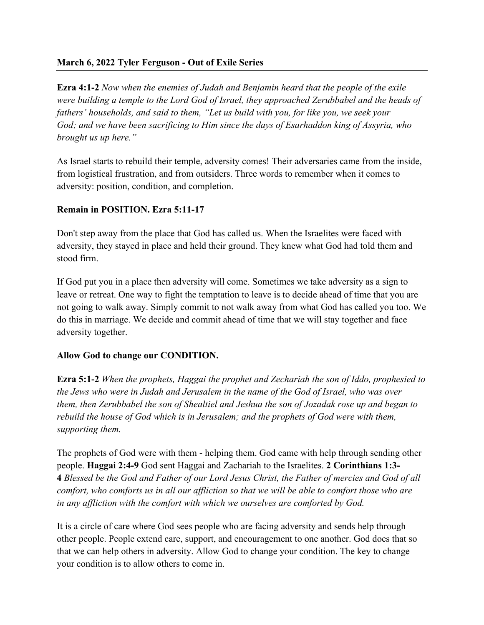## **March 6, 2022 Tyler Ferguson - Out of Exile Series**

**Ezra 4:1-2** *Now when the enemies of Judah and Benjamin heard that the people of the exile were building a temple to the Lord God of Israel, they approached Zerubbabel and the heads of fathers' households, and said to them, "Let us build with you, for like you, we seek your God; and we have been sacrificing to Him since the days of Esarhaddon king of Assyria, who brought us up here."*

As Israel starts to rebuild their temple, adversity comes! Their adversaries came from the inside, from logistical frustration, and from outsiders. Three words to remember when it comes to adversity: position, condition, and completion.

## **Remain in POSITION. Ezra 5:11-17**

Don't step away from the place that God has called us. When the Israelites were faced with adversity, they stayed in place and held their ground. They knew what God had told them and stood firm.

If God put you in a place then adversity will come. Sometimes we take adversity as a sign to leave or retreat. One way to fight the temptation to leave is to decide ahead of time that you are not going to walk away. Simply commit to not walk away from what God has called you too. We do this in marriage. We decide and commit ahead of time that we will stay together and face adversity together.

## **Allow God to change our CONDITION.**

**Ezra 5:1-2** *When the prophets, Haggai the prophet and Zechariah the son of Iddo, prophesied to the Jews who were in Judah and Jerusalem in the name of the God of Israel, who was over them, then Zerubbabel the son of Shealtiel and Jeshua the son of Jozadak rose up and began to rebuild the house of God which is in Jerusalem; and the prophets of God were with them, supporting them.*

The prophets of God were with them - helping them. God came with help through sending other people. **Haggai 2:4-9** God sent Haggai and Zachariah to the Israelites. **2 Corinthians 1:3- 4** *Blessed be the God and Father of our Lord Jesus Christ, the Father of mercies and God of all comfort, who comforts us in all our affliction so that we will be able to comfort those who are in any affliction with the comfort with which we ourselves are comforted by God.*

It is a circle of care where God sees people who are facing adversity and sends help through other people. People extend care, support, and encouragement to one another. God does that so that we can help others in adversity. Allow God to change your condition. The key to change your condition is to allow others to come in.